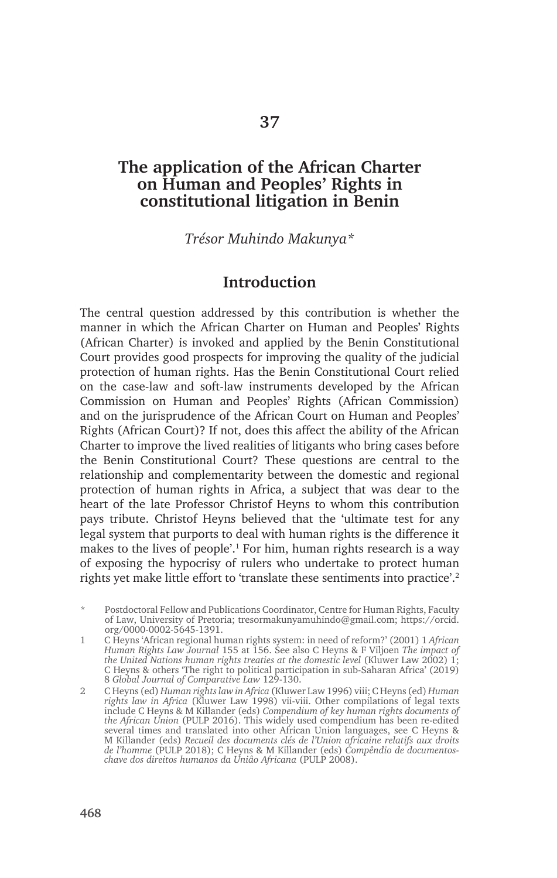### **The application of the African Charter on Human and Peoples' Rights in constitutional litigation in Benin**

*Trésor Muhindo Makunya\**

### **Introduction**

The central question addressed by this contribution is whether the manner in which the African Charter on Human and Peoples' Rights (African Charter) is invoked and applied by the Benin Constitutional Court provides good prospects for improving the quality of the judicial protection of human rights. Has the Benin Constitutional Court relied on the case-law and soft-law instruments developed by the African Commission on Human and Peoples' Rights (African Commission) and on the jurisprudence of the African Court on Human and Peoples' Rights (African Court)? If not, does this affect the ability of the African Charter to improve the lived realities of litigants who bring cases before the Benin Constitutional Court? These questions are central to the relationship and complementarity between the domestic and regional protection of human rights in Africa, a subject that was dear to the heart of the late Professor Christof Heyns to whom this contribution pays tribute. Christof Heyns believed that the 'ultimate test for any legal system that purports to deal with human rights is the difference it makes to the lives of people'.<sup>1</sup> For him, human rights research is a way of exposing the hypocrisy of rulers who undertake to protect human rights yet make little effort to 'translate these sentiments into practice'.2

Postdoctoral Fellow and Publications Coordinator, Centre for Human Rights, Faculty of Law, University of Pretoria; tresormakunyamuhindo@gmail.com; https://orcid. org/0000-0002-5645-1391.

1 C Heyns 'African regional human rights system: in need of reform?' (2001) 1 *African Human Rights Law Journal* 155 at 156. See also C Heyns & F Viljoen *The impact of the United Nations human rights treaties at the domestic level* (Kluwer Law 2002) 1; C Heyns & others 'The right to political participation in sub-Saharan Africa' (2019) 8 *Global Journal of Comparative Law* 129-130.

2 C Heyns (ed) *Human rights law in Africa* (Kluwer Law 1996) viii; C Heyns (ed) *Human rights law in Africa* (Kluwer Law 1998) vii-viii. Other compilations of legal texts include C Heyns & M Killander (eds) *Compendium of key human rights documents of the African Union* (PULP 2016). This widely used compendium has been re-edited several times and translated into other African Union languages, see C Heyns & M Killander (eds) *Recueil des documents clés de l'Union africaine relatifs aux droits de l'homme* (PULP 2018); C Heyns & M Killander (eds) *Compêndio de documentoschave dos direitos humanos da Uniâo Africana* (PULP 2008).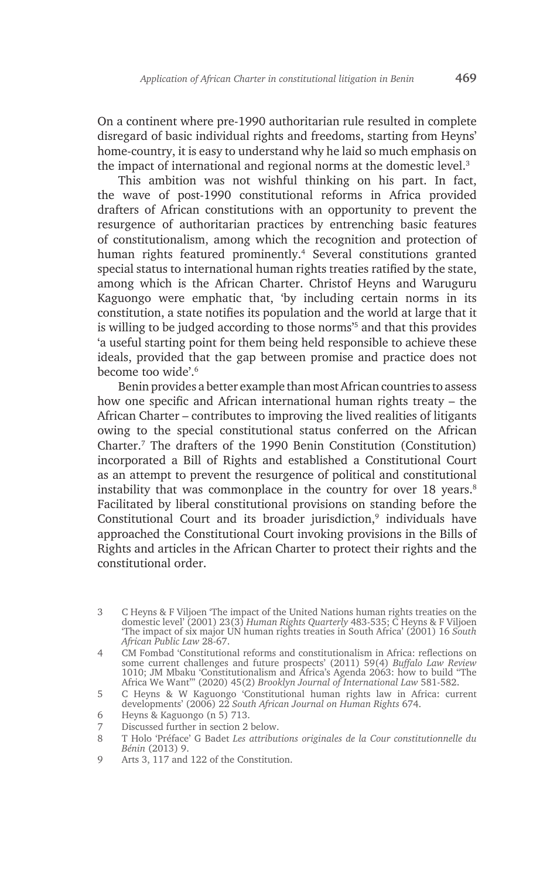On a continent where pre-1990 authoritarian rule resulted in complete disregard of basic individual rights and freedoms, starting from Heyns' home-country, it is easy to understand why he laid so much emphasis on the impact of international and regional norms at the domestic level.3

This ambition was not wishful thinking on his part. In fact, the wave of post-1990 constitutional reforms in Africa provided drafters of African constitutions with an opportunity to prevent the resurgence of authoritarian practices by entrenching basic features of constitutionalism, among which the recognition and protection of human rights featured prominently.4 Several constitutions granted special status to international human rights treaties ratified by the state, among which is the African Charter. Christof Heyns and Waruguru Kaguongo were emphatic that, 'by including certain norms in its constitution, a state notifies its population and the world at large that it is willing to be judged according to those norms'5 and that this provides 'a useful starting point for them being held responsible to achieve these ideals, provided that the gap between promise and practice does not become too wide'.6

Benin provides a better example than most African countries to assess how one specific and African international human rights treaty – the African Charter – contributes to improving the lived realities of litigants owing to the special constitutional status conferred on the African Charter.7 The drafters of the 1990 Benin Constitution (Constitution) incorporated a Bill of Rights and established a Constitutional Court as an attempt to prevent the resurgence of political and constitutional instability that was commonplace in the country for over  $18$  years.<sup>8</sup> Facilitated by liberal constitutional provisions on standing before the Constitutional Court and its broader jurisdiction, $9$  individuals have approached the Constitutional Court invoking provisions in the Bills of Rights and articles in the African Charter to protect their rights and the constitutional order.

<sup>3</sup> C Heyns & F Viljoen 'The impact of the United Nations human rights treaties on the domestic level' (2001) 23(3) *Human Rights Quarterly* 483-535; C Heyns & F Viljoen 'The impact of six major UN human rights treaties in South Africa' (2001) 16 *South African Public Law* 28-67.

<sup>4</sup> CM Fombad 'Constitutional reforms and constitutionalism in Africa: reflections on some current challenges and future prospects' (2011) 59(4) *Buffalo Law Review* 1010; JM Mbaku 'Constitutionalism and Africa's Agenda 2063: how to build "The Africa We Want"' (2020) 45(2) *Brooklyn Journal of International Law* 581-582.

<sup>5</sup> C Heyns & W Kaguongo 'Constitutional human rights law in Africa: current developments' (2006) 22 *South African Journal on Human Rights* 674.

<sup>6</sup> Heyns & Kaguongo (n 5) 713.

<sup>7</sup> Discussed further in section 2 below.

<sup>8</sup> T Holo 'Préface' G Badet *Les attributions originales de la Cour constitutionnelle du Bénin* (2013) 9.

<sup>9</sup> Arts 3, 117 and 122 of the Constitution.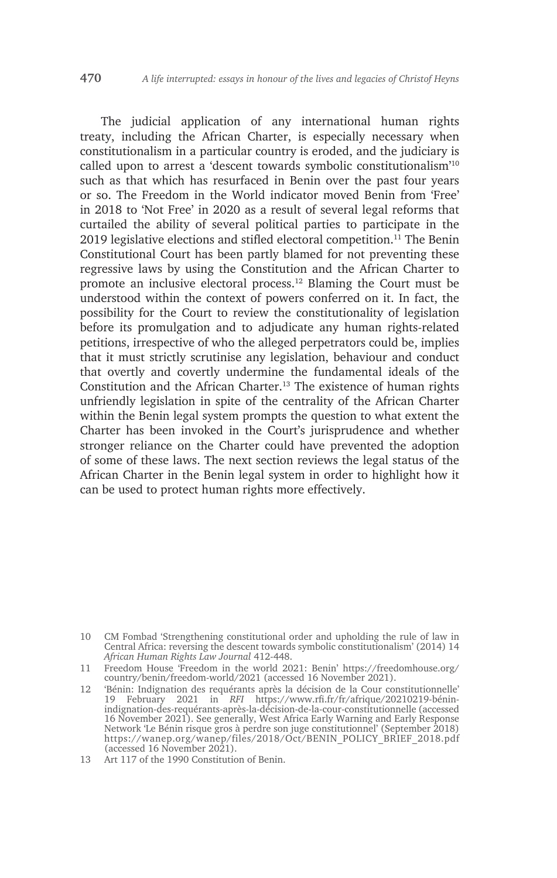The judicial application of any international human rights treaty, including the African Charter, is especially necessary when constitutionalism in a particular country is eroded, and the judiciary is called upon to arrest a 'descent towards symbolic constitutionalism'10 such as that which has resurfaced in Benin over the past four years or so. The Freedom in the World indicator moved Benin from 'Free' in 2018 to 'Not Free' in 2020 as a result of several legal reforms that curtailed the ability of several political parties to participate in the 2019 legislative elections and stifled electoral competition.<sup>11</sup> The Benin Constitutional Court has been partly blamed for not preventing these regressive laws by using the Constitution and the African Charter to promote an inclusive electoral process.12 Blaming the Court must be understood within the context of powers conferred on it. In fact, the possibility for the Court to review the constitutionality of legislation before its promulgation and to adjudicate any human rights-related petitions, irrespective of who the alleged perpetrators could be, implies that it must strictly scrutinise any legislation, behaviour and conduct that overtly and covertly undermine the fundamental ideals of the Constitution and the African Charter.13 The existence of human rights unfriendly legislation in spite of the centrality of the African Charter within the Benin legal system prompts the question to what extent the Charter has been invoked in the Court's jurisprudence and whether stronger reliance on the Charter could have prevented the adoption of some of these laws. The next section reviews the legal status of the African Charter in the Benin legal system in order to highlight how it can be used to protect human rights more effectively.

<sup>10</sup> CM Fombad 'Strengthening constitutional order and upholding the rule of law in Central Africa: reversing the descent towards symbolic constitutionalism' (2014) 14 *African Human Rights Law Journal* 412-448.

<sup>11</sup> Freedom House 'Freedom in the world 2021: Benin' https://freedomhouse.org/ country/benin/freedom-world/2021 (accessed 16 November 2021).

<sup>12</sup> 'Bénin: Indignation des requérants après la décision de la Cour constitutionnelle' 19 February 2021 in *RFI* https://www.rfi.fr/fr/afrique/20210219-béninindignation-des-requérants-après-la-décision-de-la-cour-constitutionnelle (accessed 16 November 2021). See generally, West Africa Early Warning and Early Response Network 'Le Bénin risque gros à perdre son juge constitutionnel' (September 2018) https://wanep.org/wanep/files/2018/Oct/BENIN\_POLICY\_BRIEF\_2018.pdf (accessed 16 November 2021).

<sup>13</sup> Art 117 of the 1990 Constitution of Benin.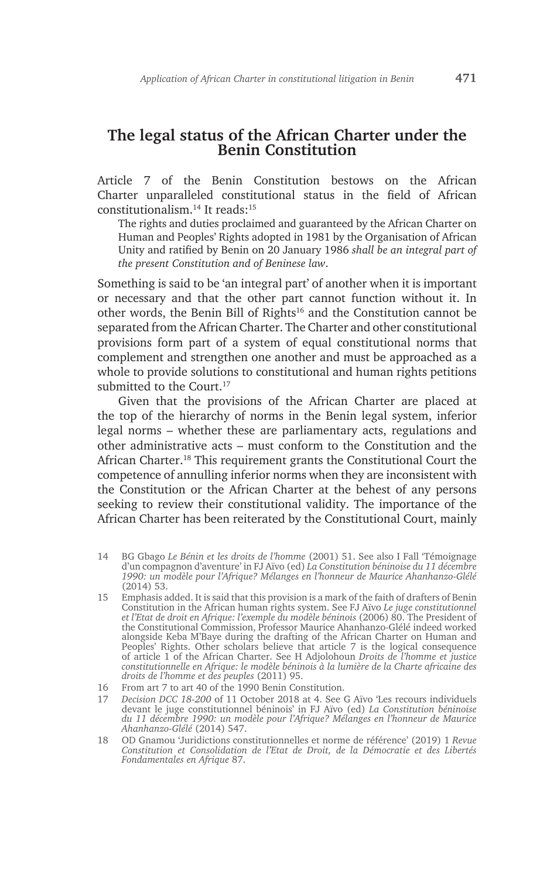# **The legal status of the African Charter under the Benin Constitution**

Article 7 of the Benin Constitution bestows on the African Charter unparalleled constitutional status in the field of African constitutionalism.14 It reads:15

The rights and duties proclaimed and guaranteed by the African Charter on Human and Peoples' Rights adopted in 1981 by the Organisation of African Unity and ratified by Benin on 20 January 1986 *shall be an integral part of the present Constitution and of Beninese law*.

Something is said to be 'an integral part' of another when it is important or necessary and that the other part cannot function without it. In other words, the Benin Bill of Rights<sup>16</sup> and the Constitution cannot be separated from the African Charter. The Charter and other constitutional provisions form part of a system of equal constitutional norms that complement and strengthen one another and must be approached as a whole to provide solutions to constitutional and human rights petitions submitted to the Court.<sup>17</sup>

Given that the provisions of the African Charter are placed at the top of the hierarchy of norms in the Benin legal system, inferior legal norms – whether these are parliamentary acts, regulations and other administrative acts – must conform to the Constitution and the African Charter.<sup>18</sup> This requirement grants the Constitutional Court the competence of annulling inferior norms when they are inconsistent with the Constitution or the African Charter at the behest of any persons seeking to review their constitutional validity. The importance of the African Charter has been reiterated by the Constitutional Court, mainly

- 14 BG Gbago *Le Bénin et les droits de l'homme* (2001) 51. See also I Fall 'Témoignage d'un compagnon d'aventure' in FJ Aïvo (ed) *La Constitution béninoise du 11 décembre 1990: un modèle pour l'Afrique? Mélanges en l'honneur de Maurice Ahanhanzo-Glélé* (2014) 53.
- 15 Emphasis added. It is said that this provision is a mark of the faith of drafters of Benin Constitution in the African human rights system. See FJ Aïvo *Le juge constitutionnel et l'Etat de droit en Afrique: l'exemple du modèle béninois* (2006) 80. The President of the Constitutional Commission, Professor Maurice Ahanhanzo-Glélé indeed worked alongside Keba M'Baye during the drafting of the African Charter on Human and Peoples' Rights. Other scholars believe that article 7 is the logical consequence of article 1 of the African Charter. See H Adjolohoun *Droits de l'homme et justice constitutionnelle en Afrique: le modèle béninois à la lumière de la Charte africaine des droits de l'homme et des peuples* (2011) 95.
- 16 From art 7 to art 40 of the 1990 Benin Constitution.
- 17 *Decision DCC 18-200* of 11 October 2018 at 4. See G Aïvo 'Les recours individuels devant le juge constitutionnel béninois' in FJ Aïvo (ed) *La Constitution béninoise du 11 décembre 1990: un modèle pour l'Afrique? Mélanges en l'honneur de Maurice Ahanhanzo-Glélé* (2014) 547.
- 18 OD Gnamou 'Juridictions constitutionnelles et norme de référence' (2019) 1 *Revue Constitution et Consolidation de l'Etat de Droit, de la Démocratie et des Libertés Fondamentales en Afrique* 87.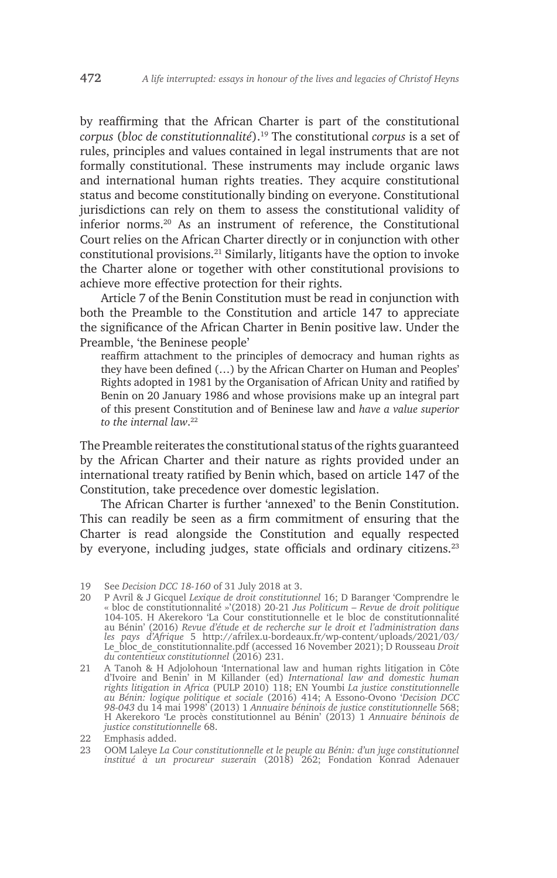by reaffirming that the African Charter is part of the constitutional *corpus* (*bloc de constitutionnalité*).19 The constitutional *corpus* is a set of rules, principles and values contained in legal instruments that are not formally constitutional. These instruments may include organic laws and international human rights treaties. They acquire constitutional status and become constitutionally binding on everyone. Constitutional jurisdictions can rely on them to assess the constitutional validity of inferior norms.20 As an instrument of reference, the Constitutional Court relies on the African Charter directly or in conjunction with other constitutional provisions.21 Similarly, litigants have the option to invoke the Charter alone or together with other constitutional provisions to achieve more effective protection for their rights.

Article 7 of the Benin Constitution must be read in conjunction with both the Preamble to the Constitution and article 147 to appreciate the significance of the African Charter in Benin positive law. Under the Preamble, 'the Beninese people'

reaffirm attachment to the principles of democracy and human rights as they have been defined (…) by the African Charter on Human and Peoples' Rights adopted in 1981 by the Organisation of African Unity and ratified by Benin on 20 January 1986 and whose provisions make up an integral part of this present Constitution and of Beninese law and *have a value superior to the internal law*. 22

The Preamble reiterates the constitutional status of the rights guaranteed by the African Charter and their nature as rights provided under an international treaty ratified by Benin which, based on article 147 of the Constitution, take precedence over domestic legislation.

The African Charter is further 'annexed' to the Benin Constitution. This can readily be seen as a firm commitment of ensuring that the Charter is read alongside the Constitution and equally respected by everyone, including judges, state officials and ordinary citizens.<sup>23</sup>

- 20 P Avril & J Gicquel *Lexique de droit constitutionnel* 16; D Baranger 'Comprendre le « bloc de constitutionnalité »'(2018) 20-21 *Jus Politicum – Revue de droit politique* 104-105. H Akerekoro 'La Cour constitutionnelle et le bloc de constitutionnalité au Bénin' (2016) *Revue d'étude et de recherche sur le droit et l'administration dans les pays d'Afrique* 5 http://afrilex.u-bordeaux.fr/wp-content/uploads/2021/03/ Le\_bloc\_de\_constitutionnalite.pdf (accessed 16 November 2021); D Rousseau *Droit du contentieux constitutionnel* (2016) 231.
- 21 A Tanoh & H Adjolohoun 'International law and human rights litigation in Côte d'Ivoire and Benin' in M Killander (ed) *International law and domestic human rights litigation in Africa* (PULP 2010) 118; EN Youmbi *La justice constitutionnelle au Bénin: logique politique et sociale* (2016) 414; A Essono-Ovono '*Decision DCC 98-043* du 14 mai 1998' (2013) 1 *Annuaire béninois de justice constitutionnelle* 568; H Akerekoro 'Le procès constitutionnel au Bénin' (2013) 1 *Annuaire béninois de justice constitutionnelle* 68.

<sup>19</sup> See *Decision DCC 18-160* of 31 July 2018 at 3.

<sup>22</sup> Emphasis added.

<sup>23</sup> OOM Laleye *La Cour constitutionnelle et le peuple au Bénin: d'un juge constitutionnel institué à un procureur suzerain* (2018) 262; Fondation Konrad Adenauer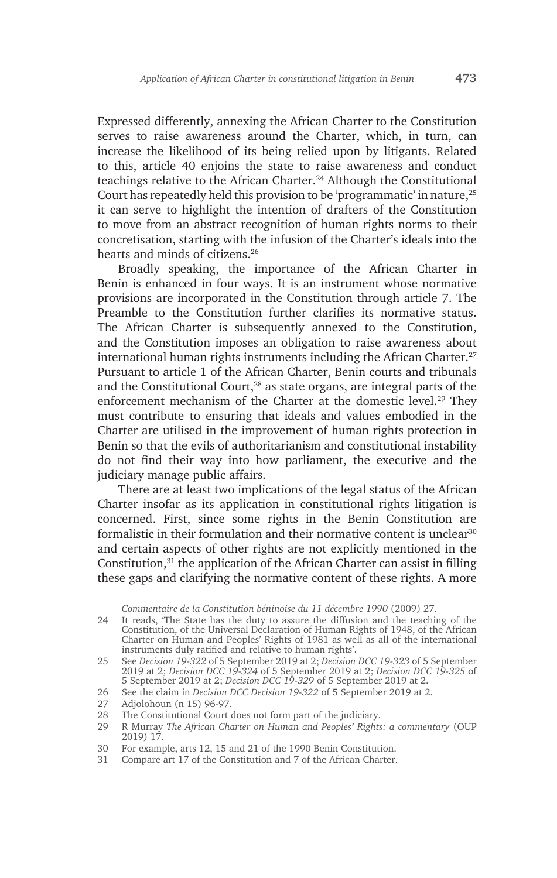Expressed differently, annexing the African Charter to the Constitution serves to raise awareness around the Charter, which, in turn, can increase the likelihood of its being relied upon by litigants. Related to this, article 40 enjoins the state to raise awareness and conduct teachings relative to the African Charter.24 Although the Constitutional Court has repeatedly held this provision to be 'programmatic' in nature,25 it can serve to highlight the intention of drafters of the Constitution to move from an abstract recognition of human rights norms to their concretisation, starting with the infusion of the Charter's ideals into the hearts and minds of citizens.26

Broadly speaking, the importance of the African Charter in Benin is enhanced in four ways. It is an instrument whose normative provisions are incorporated in the Constitution through article 7. The Preamble to the Constitution further clarifies its normative status. The African Charter is subsequently annexed to the Constitution, and the Constitution imposes an obligation to raise awareness about international human rights instruments including the African Charter.<sup>27</sup> Pursuant to article 1 of the African Charter, Benin courts and tribunals and the Constitutional Court,<sup>28</sup> as state organs, are integral parts of the enforcement mechanism of the Charter at the domestic level.<sup>29</sup> They must contribute to ensuring that ideals and values embodied in the Charter are utilised in the improvement of human rights protection in Benin so that the evils of authoritarianism and constitutional instability do not find their way into how parliament, the executive and the judiciary manage public affairs.

There are at least two implications of the legal status of the African Charter insofar as its application in constitutional rights litigation is concerned. First, since some rights in the Benin Constitution are formalistic in their formulation and their normative content is unclear<sup>30</sup> and certain aspects of other rights are not explicitly mentioned in the Constitution, $31$  the application of the African Charter can assist in filling these gaps and clarifying the normative content of these rights. A more

*Commentaire de la Constitution béninoise du 11 décembre 1990* (2009) 27.

24 It reads, 'The State has the duty to assure the diffusion and the teaching of the Constitution, of the Universal Declaration of Human Rights of 1948, of the African Charter on Human and Peoples' Rights of 1981 as well as all of the international instruments duly ratified and relative to human rights'.

27 Adjolohoun (n 15) 96-97.

<sup>25</sup> See *Decision 19-322* of 5 September 2019 at 2; *Decision DCC 19-323* of 5 September 2019 at 2; *Decision DCC 19-324* of 5 September 2019 at 2; *Decision DCC 19-325* of 5 September 2019 at 2; *Decision DCC 19-329* of 5 September 2019 at 2.

<sup>26</sup> See the claim in *Decision DCC Decision 19-322* of 5 September 2019 at 2.

<sup>28</sup> The Constitutional Court does not form part of the judiciary.

<sup>29</sup> R Murray *The African Charter on Human and Peoples' Rights: a commentary* (OUP 2019) 17.

<sup>30</sup> For example, arts 12, 15 and 21 of the 1990 Benin Constitution.

<sup>31</sup> Compare art 17 of the Constitution and 7 of the African Charter.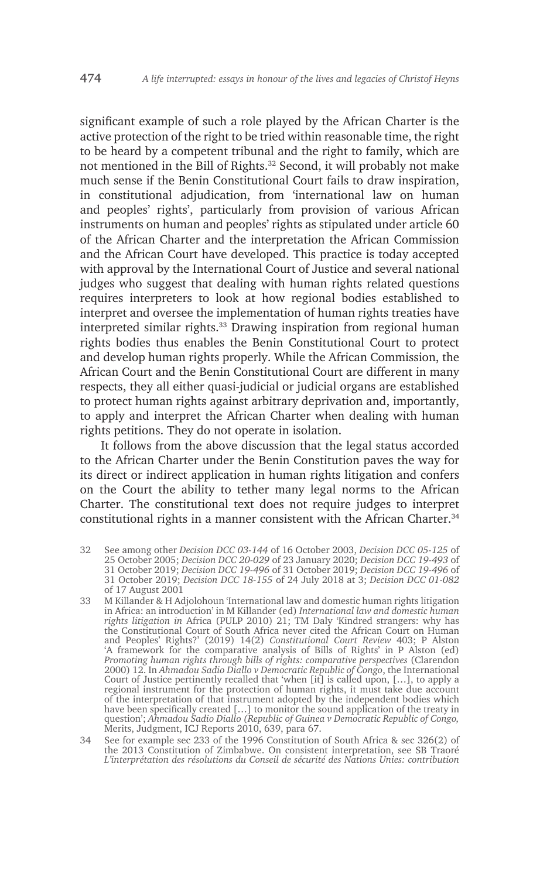significant example of such a role played by the African Charter is the active protection of the right to be tried within reasonable time, the right to be heard by a competent tribunal and the right to family, which are not mentioned in the Bill of Rights.<sup>32</sup> Second, it will probably not make much sense if the Benin Constitutional Court fails to draw inspiration, in constitutional adjudication, from 'international law on human and peoples' rights', particularly from provision of various African instruments on human and peoples' rights as stipulated under article 60 of the African Charter and the interpretation the African Commission and the African Court have developed. This practice is today accepted with approval by the International Court of Justice and several national judges who suggest that dealing with human rights related questions requires interpreters to look at how regional bodies established to interpret and oversee the implementation of human rights treaties have interpreted similar rights.<sup>33</sup> Drawing inspiration from regional human rights bodies thus enables the Benin Constitutional Court to protect and develop human rights properly. While the African Commission, the African Court and the Benin Constitutional Court are different in many respects, they all either quasi-judicial or judicial organs are established to protect human rights against arbitrary deprivation and, importantly, to apply and interpret the African Charter when dealing with human rights petitions. They do not operate in isolation.

It follows from the above discussion that the legal status accorded to the African Charter under the Benin Constitution paves the way for its direct or indirect application in human rights litigation and confers on the Court the ability to tether many legal norms to the African Charter. The constitutional text does not require judges to interpret constitutional rights in a manner consistent with the African Charter.<sup>34</sup>

- 32 See among other *Decision DCC 03-144* of 16 October 2003, *Decision DCC 05-125* of 25 October 2005; *Decision DCC 20-029* of 23 January 2020; *Decision DCC 19-493* of 31 October 2019; *Decision DCC 19-496* of 31 October 2019; *Decision DCC 19-496* of 31 October 2019; *Decision DCC 18-155* of 24 July 2018 at 3; *Decision DCC 01-082*  of 17 August 2001
- 33 M Killander & H Adjolohoun 'International law and domestic human rights litigation in Africa: an introduction' in M Killander (ed) *International law and domestic human rights litigation in* Africa (PULP 2010) 21; TM Daly 'Kindred strangers: why has the Constitutional Court of South Africa never cited the African Court on Human and Peoples' Rights?' (2019) 14(2) *Constitutional Court Review* 403; P Alston 'A framework for the comparative analysis of Bills of Rights' in P Alston (ed) *Promoting human rights through bills of rights: comparative perspectives* (Clarendon 2000) 12. In *Ahmadou Sadio Diallo v Democratic Republic of Congo*, the International Court of Justice pertinently recalled that 'when [it] is called upon, […], to apply a regional instrument for the protection of human rights, it must take due account of the interpretation of that instrument adopted by the independent bodies which have been specifically created […] to monitor the sound application of the treaty in question'; *Ahmadou Sadio Diallo (Republic of Guinea v Democratic Republic of Congo,* Merits, Judgment, ICJ Reports 2010, 639, para 67.

34 See for example sec 233 of the 1996 Constitution of South Africa & sec 326(2) of the 2013 Constitution of Zimbabwe. On consistent interpretation, see SB Traoré *L'interprétation des résolutions du Conseil de sécurité des Nations Unies: contribution*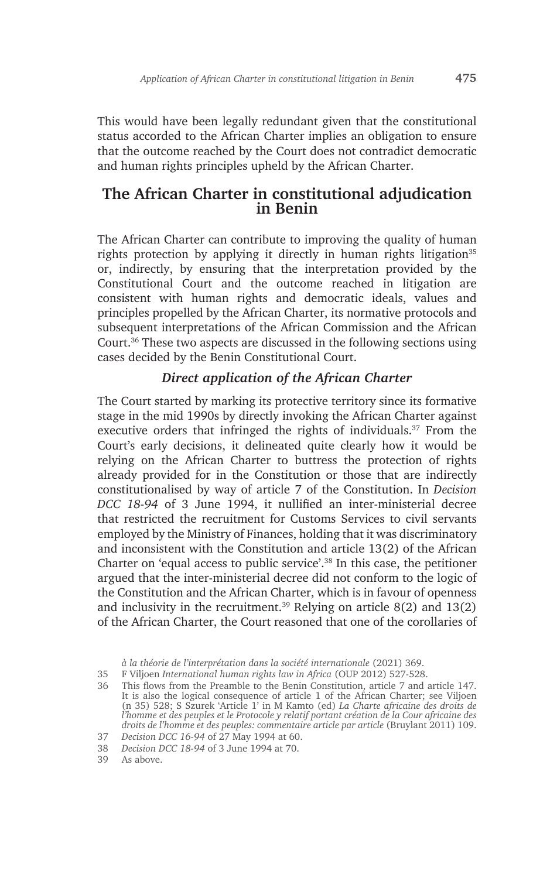This would have been legally redundant given that the constitutional status accorded to the African Charter implies an obligation to ensure that the outcome reached by the Court does not contradict democratic and human rights principles upheld by the African Charter.

# **The African Charter in constitutional adjudication in Benin**

The African Charter can contribute to improving the quality of human rights protection by applying it directly in human rights litigation<sup>35</sup> or, indirectly, by ensuring that the interpretation provided by the Constitutional Court and the outcome reached in litigation are consistent with human rights and democratic ideals, values and principles propelled by the African Charter, its normative protocols and subsequent interpretations of the African Commission and the African Court.36 These two aspects are discussed in the following sections using cases decided by the Benin Constitutional Court.

#### *Direct application of the African Charter*

The Court started by marking its protective territory since its formative stage in the mid 1990s by directly invoking the African Charter against executive orders that infringed the rights of individuals.<sup>37</sup> From the Court's early decisions, it delineated quite clearly how it would be relying on the African Charter to buttress the protection of rights already provided for in the Constitution or those that are indirectly constitutionalised by way of article 7 of the Constitution. In *Decision DCC 18-94* of 3 June 1994, it nullified an inter-ministerial decree that restricted the recruitment for Customs Services to civil servants employed by the Ministry of Finances, holding that it was discriminatory and inconsistent with the Constitution and article 13(2) of the African Charter on 'equal access to public service'.38 In this case, the petitioner argued that the inter-ministerial decree did not conform to the logic of the Constitution and the African Charter, which is in favour of openness and inclusivity in the recruitment.<sup>39</sup> Relying on article  $8(2)$  and  $13(2)$ of the African Charter, the Court reasoned that one of the corollaries of

*à la théorie de l'interprétation dans la société internationale* (2021) 369.

<sup>35</sup> F Viljoen *International human rights law in Africa* (OUP 2012) 527-528.

<sup>36</sup> This flows from the Preamble to the Benin Constitution, article 7 and article 147. It is also the logical consequence of article 1 of the African Charter; see Viljoen (n 35) 528; S Szurek 'Article 1' in M Kamto (ed) *La Charte africaine des droits de l'homme et des peuples et le Protocole y relatif portant création de la Cour africaine des droits de l'homme et des peuples: commentaire article par article* (Bruylant 2011) 109.

<sup>37</sup> *Decision DCC 16-94* of 27 May 1994 at 60.

<sup>38</sup> *Decision DCC 18-94* of 3 June 1994 at 70.

<sup>39</sup> As above.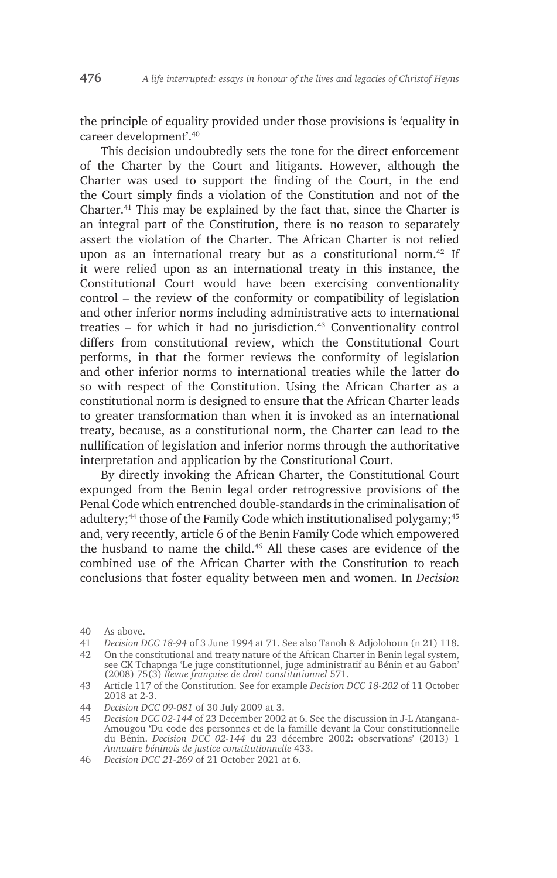the principle of equality provided under those provisions is 'equality in career development'.40

This decision undoubtedly sets the tone for the direct enforcement of the Charter by the Court and litigants. However, although the Charter was used to support the finding of the Court, in the end the Court simply finds a violation of the Constitution and not of the Charter.41 This may be explained by the fact that, since the Charter is an integral part of the Constitution, there is no reason to separately assert the violation of the Charter. The African Charter is not relied upon as an international treaty but as a constitutional norm.42 If it were relied upon as an international treaty in this instance, the Constitutional Court would have been exercising conventionality control – the review of the conformity or compatibility of legislation and other inferior norms including administrative acts to international treaties  $-$  for which it had no jurisdiction.<sup>43</sup> Conventionality control differs from constitutional review, which the Constitutional Court performs, in that the former reviews the conformity of legislation and other inferior norms to international treaties while the latter do so with respect of the Constitution. Using the African Charter as a constitutional norm is designed to ensure that the African Charter leads to greater transformation than when it is invoked as an international treaty, because, as a constitutional norm, the Charter can lead to the nullification of legislation and inferior norms through the authoritative interpretation and application by the Constitutional Court.

By directly invoking the African Charter, the Constitutional Court expunged from the Benin legal order retrogressive provisions of the Penal Code which entrenched double-standards in the criminalisation of adultery;<sup>44</sup> those of the Family Code which institutionalised polygamy;<sup>45</sup> and, very recently, article 6 of the Benin Family Code which empowered the husband to name the child.<sup>46</sup> All these cases are evidence of the combined use of the African Charter with the Constitution to reach conclusions that foster equality between men and women. In *Decision* 

<sup>40</sup> As above.

<sup>41</sup> *Decision DCC 18-94* of 3 June 1994 at 71. See also Tanoh & Adjolohoun (n 21) 118.

<sup>42</sup> On the constitutional and treaty nature of the African Charter in Benin legal system, see CK Tchapnga 'Le juge constitutionnel, juge administratif au Bénin et au Gabon' (2008) 75(3) *Revue française de droit constitutionnel* 571.

<sup>43</sup> Article 117 of the Constitution. See for example *Decision DCC 18-202* of 11 October 2018 at 2-3.

<sup>44</sup> *Decision DCC 09-081* of 30 July 2009 at 3.

<sup>45</sup> *Decision DCC 02-144* of 23 December 2002 at 6. See the discussion in J-L Atangana-Amougou 'Du code des personnes et de la famille devant la Cour constitutionnelle du Bénin. *Decision DCC 02-144* du 23 décembre 2002: observations' (2013) 1 *Annuaire béninois de justice constitutionnelle* 433.

<sup>46</sup> *Decision DCC 21-269* of 21 October 2021 at 6.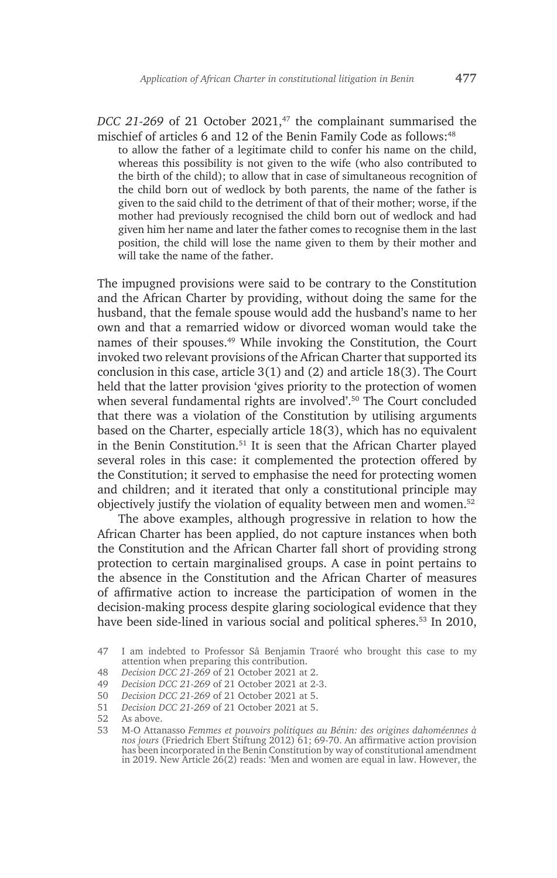*DCC 21-269* of 21 October 2021,<sup>47</sup> the complainant summarised the mischief of articles 6 and 12 of the Benin Family Code as follows:<sup>48</sup>

to allow the father of a legitimate child to confer his name on the child, whereas this possibility is not given to the wife (who also contributed to the birth of the child); to allow that in case of simultaneous recognition of the child born out of wedlock by both parents, the name of the father is given to the said child to the detriment of that of their mother; worse, if the mother had previously recognised the child born out of wedlock and had given him her name and later the father comes to recognise them in the last position, the child will lose the name given to them by their mother and will take the name of the father.

The impugned provisions were said to be contrary to the Constitution and the African Charter by providing, without doing the same for the husband, that the female spouse would add the husband's name to her own and that a remarried widow or divorced woman would take the names of their spouses.49 While invoking the Constitution, the Court invoked two relevant provisions of the African Charter that supported its conclusion in this case, article 3(1) and (2) and article 18(3). The Court held that the latter provision 'gives priority to the protection of women when several fundamental rights are involved'.<sup>50</sup> The Court concluded that there was a violation of the Constitution by utilising arguments based on the Charter, especially article 18(3), which has no equivalent in the Benin Constitution.51 It is seen that the African Charter played several roles in this case: it complemented the protection offered by the Constitution; it served to emphasise the need for protecting women and children; and it iterated that only a constitutional principle may objectively justify the violation of equality between men and women.<sup>52</sup>

The above examples, although progressive in relation to how the African Charter has been applied, do not capture instances when both the Constitution and the African Charter fall short of providing strong protection to certain marginalised groups. A case in point pertains to the absence in the Constitution and the African Charter of measures of affirmative action to increase the participation of women in the decision-making process despite glaring sociological evidence that they have been side-lined in various social and political spheres.<sup>53</sup> In 2010,

- 49 *Decision DCC 21-269* of 21 October 2021 at 2-3.
- 50 *Decision DCC 21-269* of 21 October 2021 at 5.
- 51 *Decision DCC 21-269* of 21 October 2021 at 5.

<sup>47</sup> I am indebted to Professor Sâ Benjamin Traoré who brought this case to my attention when preparing this contribution.

<sup>48</sup> *Decision DCC 21-269* of 21 October 2021 at 2.

<sup>52</sup> As above.

<sup>53</sup> M-O Attanasso *Femmes et pouvoirs politiques au Bénin: des origines dahoméennes à nos jours* (Friedrich Ebert Stiftung 2012) 61; 69-70. An affirmative action provision has been incorporated in the Benin Constitution by way of constitutional amendment in 2019. New Article 26(2) reads: 'Men and women are equal in law. However, the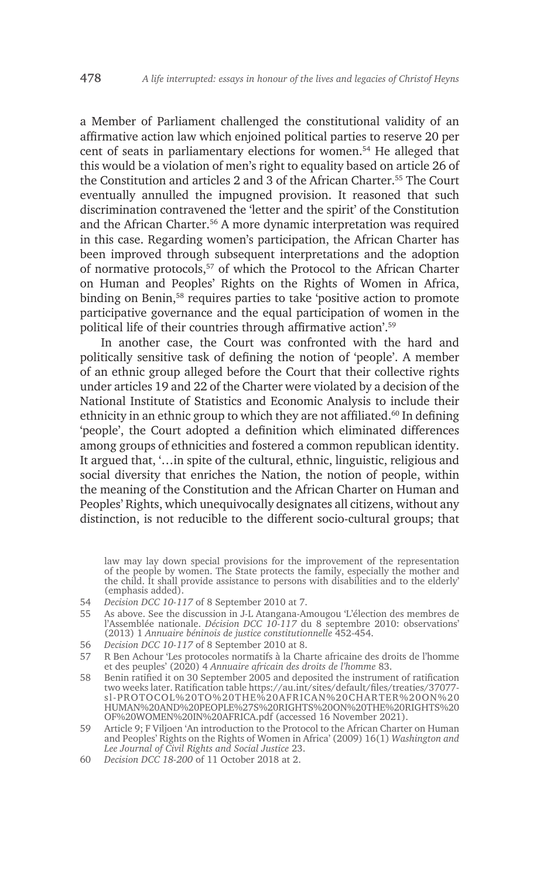a Member of Parliament challenged the constitutional validity of an affirmative action law which enjoined political parties to reserve 20 per cent of seats in parliamentary elections for women.54 He alleged that this would be a violation of men's right to equality based on article 26 of the Constitution and articles 2 and 3 of the African Charter.55 The Court eventually annulled the impugned provision. It reasoned that such discrimination contravened the 'letter and the spirit' of the Constitution and the African Charter.<sup>56</sup> A more dynamic interpretation was required in this case. Regarding women's participation, the African Charter has been improved through subsequent interpretations and the adoption of normative protocols,57 of which the Protocol to the African Charter on Human and Peoples' Rights on the Rights of Women in Africa, binding on Benin,<sup>58</sup> requires parties to take 'positive action to promote participative governance and the equal participation of women in the political life of their countries through affirmative action'.<sup>59</sup>

In another case, the Court was confronted with the hard and politically sensitive task of defining the notion of 'people'. A member of an ethnic group alleged before the Court that their collective rights under articles 19 and 22 of the Charter were violated by a decision of the National Institute of Statistics and Economic Analysis to include their ethnicity in an ethnic group to which they are not affiliated.<sup>60</sup> In defining 'people', the Court adopted a definition which eliminated differences among groups of ethnicities and fostered a common republican identity. It argued that, '…in spite of the cultural, ethnic, linguistic, religious and social diversity that enriches the Nation, the notion of people, within the meaning of the Constitution and the African Charter on Human and Peoples' Rights, which unequivocally designates all citizens, without any distinction, is not reducible to the different socio-cultural groups; that

law may lay down special provisions for the improvement of the representation of the people by women. The State protects the family, especially the mother and the child. It shall provide assistance to persons with disabilities and to the elderly' (emphasis added).

- 54 *Decision DCC 10-117* of 8 September 2010 at 7.
- 55 As above. See the discussion in J-L Atangana-Amougou 'L'élection des membres de l'Assemblée nationale. *Décision DCC 10-117* du 8 septembre 2010: observations' (2013) 1 *Annuaire béninois de justice constitutionnelle* 452-454.
- 56 *Decision DCC 10-117* of 8 September 2010 at 8.
- 57 R Ben Achour 'Les protocoles normatifs à la Charte africaine des droits de l'homme et des peuples' (2020) 4 *Annuaire africain des droits de l'homme* 83.
- 58 Benin ratified it on 30 September 2005 and deposited the instrument of ratification two weeks later. Ratification table https://au.int/sites/default/files/treaties/37077 sl-PROTOCOL%20TO%20THE%20AFRICAN%20CHARTER%20ON%20 HUMAN%20AND%20PEOPLE%27S%20RIGHTS%20ON%20THE%20RIGHTS%20 OF%20WOMEN%20IN%20AFRICA.pdf (accessed 16 November 2021).
- 59 Article 9; F Viljoen 'An introduction to the Protocol to the African Charter on Human and Peoples' Rights on the Rights of Women in Africa' (2009) 16(1) *Washington and Lee Journal of Civil Rights and Social Justice* 23.
- 60 *Decision DCC 18-200* of 11 October 2018 at 2.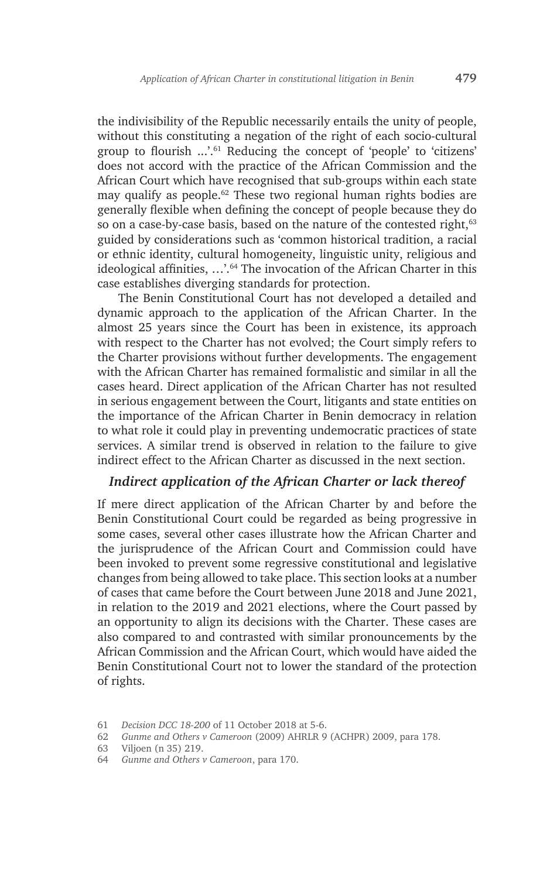the indivisibility of the Republic necessarily entails the unity of people, without this constituting a negation of the right of each socio-cultural group to flourish ...'.<sup>61</sup> Reducing the concept of 'people' to 'citizens' does not accord with the practice of the African Commission and the African Court which have recognised that sub-groups within each state may qualify as people.<sup>62</sup> These two regional human rights bodies are generally flexible when defining the concept of people because they do so on a case-by-case basis, based on the nature of the contested right,<sup>63</sup> guided by considerations such as 'common historical tradition, a racial or ethnic identity, cultural homogeneity, linguistic unity, religious and ideological affinities, …'.64 The invocation of the African Charter in this case establishes diverging standards for protection.

The Benin Constitutional Court has not developed a detailed and dynamic approach to the application of the African Charter. In the almost 25 years since the Court has been in existence, its approach with respect to the Charter has not evolved; the Court simply refers to the Charter provisions without further developments. The engagement with the African Charter has remained formalistic and similar in all the cases heard. Direct application of the African Charter has not resulted in serious engagement between the Court, litigants and state entities on the importance of the African Charter in Benin democracy in relation to what role it could play in preventing undemocratic practices of state services. A similar trend is observed in relation to the failure to give indirect effect to the African Charter as discussed in the next section.

#### *Indirect application of the African Charter or lack thereof*

If mere direct application of the African Charter by and before the Benin Constitutional Court could be regarded as being progressive in some cases, several other cases illustrate how the African Charter and the jurisprudence of the African Court and Commission could have been invoked to prevent some regressive constitutional and legislative changes from being allowed to take place. This section looks at a number of cases that came before the Court between June 2018 and June 2021, in relation to the 2019 and 2021 elections, where the Court passed by an opportunity to align its decisions with the Charter. These cases are also compared to and contrasted with similar pronouncements by the African Commission and the African Court, which would have aided the Benin Constitutional Court not to lower the standard of the protection of rights.

<sup>61</sup> *Decision DCC 18-200* of 11 October 2018 at 5-6.

<sup>62</sup> *Gunme and Others v Cameroon* (2009) AHRLR 9 (ACHPR) 2009, para 178.

<sup>63</sup> Viljoen (n 35) 219.

<sup>64</sup> *Gunme and Others v Cameroon*, para 170.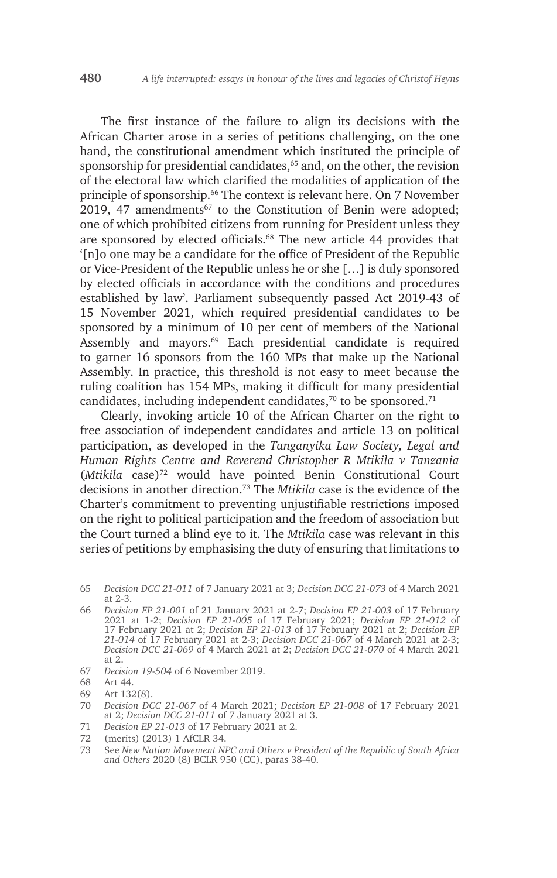The first instance of the failure to align its decisions with the African Charter arose in a series of petitions challenging, on the one hand, the constitutional amendment which instituted the principle of sponsorship for presidential candidates,<sup>65</sup> and, on the other, the revision of the electoral law which clarified the modalities of application of the principle of sponsorship.66 The context is relevant here. On 7 November 2019, 47 amendments<sup>67</sup> to the Constitution of Benin were adopted; one of which prohibited citizens from running for President unless they are sponsored by elected officials.<sup>68</sup> The new article 44 provides that '[n]o one may be a candidate for the office of President of the Republic or Vice-President of the Republic unless he or she […] is duly sponsored by elected officials in accordance with the conditions and procedures established by law'. Parliament subsequently passed Act 2019-43 of 15 November 2021, which required presidential candidates to be sponsored by a minimum of 10 per cent of members of the National Assembly and mayors.<sup>69</sup> Each presidential candidate is required to garner 16 sponsors from the 160 MPs that make up the National Assembly. In practice, this threshold is not easy to meet because the ruling coalition has 154 MPs, making it difficult for many presidential candidates, including independent candidates, $70$  to be sponsored. $71$ 

Clearly, invoking article 10 of the African Charter on the right to free association of independent candidates and article 13 on political participation, as developed in the *Tanganyika Law Society, Legal and Human Rights Centre and Reverend Christopher R Mtikila v Tanzania*  (*Mtikila* case)72 would have pointed Benin Constitutional Court decisions in another direction.73 The *Mtikila* case is the evidence of the Charter's commitment to preventing unjustifiable restrictions imposed on the right to political participation and the freedom of association but the Court turned a blind eye to it. The *Mtikila* case was relevant in this series of petitions by emphasising the duty of ensuring that limitations to

- 66 *Decision EP 21-001* of 21 January 2021 at 2-7; *Decision EP 21-003* of 17 February 2021 at 1-2; *Decision EP 21-005* of 17 February 2021; *Decision EP 21-012* of 17 February 2021 at 2; *Decision EP 21-013* of 17 February 2021 at 2; *Decision EP 21-014* of 17 February 2021 at 2-3; *Decision DCC 21-067* of 4 March 2021 at 2-3; *Decision DCC 21-069* of 4 March 2021 at 2; *Decision DCC 21-070* of 4 March 2021 at 2.
- 67 *Decision 19-504* of 6 November 2019.
- 68 Art 44.
- 69 Art 132(8).
- 70 *Decision DCC 21-067* of 4 March 2021; *Decision EP 21-008* of 17 February 2021 at 2; *Decision DCC 21-011* of 7 January 2021 at 3.
- 71 *Decision EP 21-013* of 17 February 2021 at 2.
- 72 (merits) (2013) 1 AfCLR 34.<br>73 See New Nation Movement NI
- 73 See *New Nation Movement NPC and Others v President of the Republic of South Africa and Others* 2020 (8) BCLR 950 (CC), paras 38-40.

<sup>65</sup> *Decision DCC 21-011* of 7 January 2021 at 3; *Decision DCC 21-073* of 4 March 2021 at 2-3.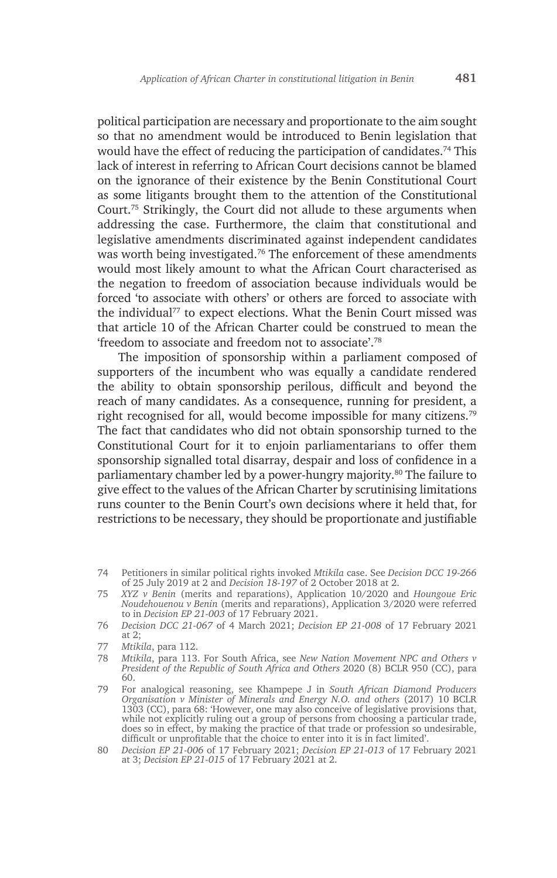political participation are necessary and proportionate to the aim sought so that no amendment would be introduced to Benin legislation that would have the effect of reducing the participation of candidates.<sup>74</sup> This lack of interest in referring to African Court decisions cannot be blamed on the ignorance of their existence by the Benin Constitutional Court as some litigants brought them to the attention of the Constitutional Court.75 Strikingly, the Court did not allude to these arguments when addressing the case. Furthermore, the claim that constitutional and legislative amendments discriminated against independent candidates was worth being investigated.76 The enforcement of these amendments would most likely amount to what the African Court characterised as the negation to freedom of association because individuals would be forced 'to associate with others' or others are forced to associate with the individual<sup>77</sup> to expect elections. What the Benin Court missed was that article 10 of the African Charter could be construed to mean the 'freedom to associate and freedom not to associate'.78

The imposition of sponsorship within a parliament composed of supporters of the incumbent who was equally a candidate rendered the ability to obtain sponsorship perilous, difficult and beyond the reach of many candidates. As a consequence, running for president, a right recognised for all, would become impossible for many citizens.79 The fact that candidates who did not obtain sponsorship turned to the Constitutional Court for it to enjoin parliamentarians to offer them sponsorship signalled total disarray, despair and loss of confidence in a parliamentary chamber led by a power-hungry majority.80 The failure to give effect to the values of the African Charter by scrutinising limitations runs counter to the Benin Court's own decisions where it held that, for restrictions to be necessary, they should be proportionate and justifiable

<sup>74</sup> Petitioners in similar political rights invoked *Mtikila* case. See *Decision DCC 19-266*  of 25 July 2019 at 2 and *Decision 18-197* of 2 October 2018 at 2.

<sup>75</sup> *XYZ v Benin* (merits and reparations), Application 10/2020 and *Houngoue Eric Noudehouenou v Benin* (merits and reparations), Application 3/2020 were referred to in *Decision EP 21-003* of 17 February 2021.

<sup>76</sup> *Decision DCC 21-067* of 4 March 2021; *Decision EP 21-008* of 17 February 2021 at 2;

<sup>77</sup> *Mtikila*, para 112.

<sup>78</sup> *Mtikila*, para 113. For South Africa, see *New Nation Movement NPC and Others v President of the Republic of South Africa and Others* 2020 (8) BCLR 950 (CC), para 60.

<sup>79</sup> For analogical reasoning, see Khampepe J in *South African Diamond Producers Organisation v Minister of Minerals and Energy N.O. and others* (2017) 10 BCLR 1303 (CC), para 68: 'However, one may also conceive of legislative provisions that, while not explicitly ruling out a group of persons from choosing a particular trade, does so in effect, by making the practice of that trade or profession so undesirable, difficult or unprofitable that the choice to enter into it is in fact limited'.

<sup>80</sup> *Decision EP 21-006* of 17 February 2021; *Decision EP 21-013* of 17 February 2021 at 3; *Decision EP 21-015* of 17 February 2021 at 2.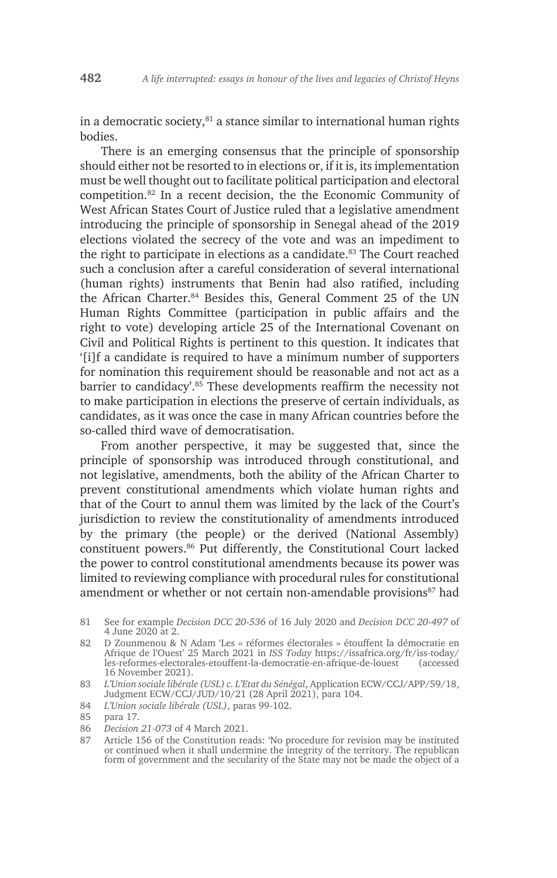in a democratic society, $81$  a stance similar to international human rights bodies.

There is an emerging consensus that the principle of sponsorship should either not be resorted to in elections or, if it is, its implementation must be well thought out to facilitate political participation and electoral competition.82 In a recent decision, the the Economic Community of West African States Court of Justice ruled that a legislative amendment introducing the principle of sponsorship in Senegal ahead of the 2019 elections violated the secrecy of the vote and was an impediment to the right to participate in elections as a candidate.<sup>83</sup> The Court reached such a conclusion after a careful consideration of several international (human rights) instruments that Benin had also ratified, including the African Charter.<sup>84</sup> Besides this, General Comment 25 of the UN Human Rights Committee (participation in public affairs and the right to vote) developing article 25 of the International Covenant on Civil and Political Rights is pertinent to this question. It indicates that '[i]f a candidate is required to have a minimum number of supporters for nomination this requirement should be reasonable and not act as a barrier to candidacy'.<sup>85</sup> These developments reaffirm the necessity not to make participation in elections the preserve of certain individuals, as candidates, as it was once the case in many African countries before the so-called third wave of democratisation.

From another perspective, it may be suggested that, since the principle of sponsorship was introduced through constitutional, and not legislative, amendments, both the ability of the African Charter to prevent constitutional amendments which violate human rights and that of the Court to annul them was limited by the lack of the Court's jurisdiction to review the constitutionality of amendments introduced by the primary (the people) or the derived (National Assembly) constituent powers.86 Put differently, the Constitutional Court lacked the power to control constitutional amendments because its power was limited to reviewing compliance with procedural rules for constitutional amendment or whether or not certain non-amendable provisions<sup>87</sup> had

84 *L'Union sociale libérale (USL)*, paras 99-102.

86 *Decision 21-073* of 4 March 2021.

<sup>81</sup> See for example *Decision DCC 20-536* of 16 July 2020 and *Decision DCC 20-497* of 4 June 2020 at 2.

<sup>82</sup> D Zounmenou & N Adam 'Les « réformes électorales » étouffent la démocratie en Afrique de l'Ouest' 25 March 2021 in *ISS Today* https://issafrica.org/fr/iss-today/ les-reformes-electorales-etouffent-la-democratie-en-afrique-de-louest 16 November 2021).

<sup>83</sup> *L'Union sociale libérale (USL) c. L'Etat du Sénégal*, Application ECW/CCJ/APP/59/18, Judgment ECW/CCJ/JUD/10/21 (28 April 2021), para 104.

<sup>85</sup> para 17.

<sup>87</sup> Article 156 of the Constitution reads: 'No procedure for revision may be instituted or continued when it shall undermine the integrity of the territory. The republican form of government and the secularity of the State may not be made the object of a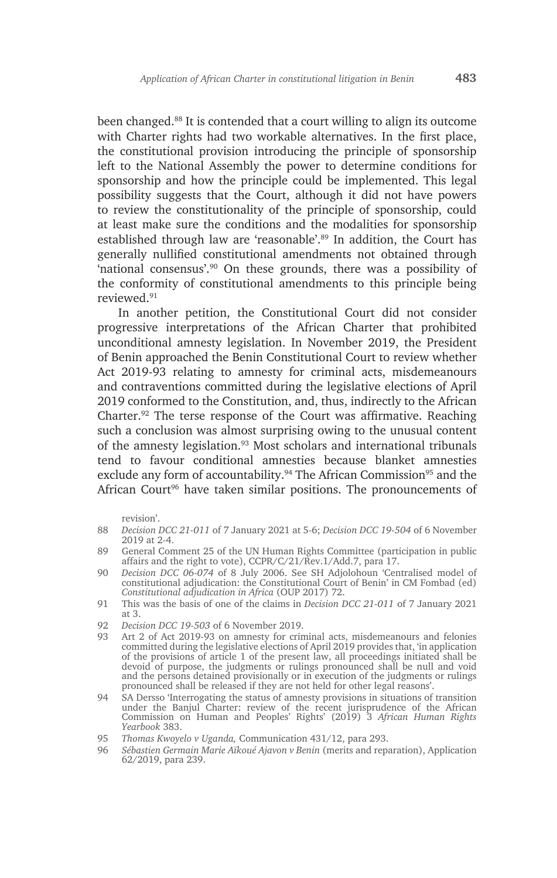been changed.88 It is contended that a court willing to align its outcome with Charter rights had two workable alternatives. In the first place, the constitutional provision introducing the principle of sponsorship left to the National Assembly the power to determine conditions for sponsorship and how the principle could be implemented. This legal possibility suggests that the Court, although it did not have powers to review the constitutionality of the principle of sponsorship, could at least make sure the conditions and the modalities for sponsorship established through law are 'reasonable'.<sup>89</sup> In addition, the Court has generally nullified constitutional amendments not obtained through 'national consensus'.90 On these grounds, there was a possibility of the conformity of constitutional amendments to this principle being reviewed.91

In another petition, the Constitutional Court did not consider progressive interpretations of the African Charter that prohibited unconditional amnesty legislation. In November 2019, the President of Benin approached the Benin Constitutional Court to review whether Act 2019-93 relating to amnesty for criminal acts, misdemeanours and contraventions committed during the legislative elections of April 2019 conformed to the Constitution, and, thus, indirectly to the African Charter.<sup>92</sup> The terse response of the Court was affirmative. Reaching such a conclusion was almost surprising owing to the unusual content of the amnesty legislation.93 Most scholars and international tribunals tend to favour conditional amnesties because blanket amnesties exclude any form of accountability.<sup>94</sup> The African Commission<sup>95</sup> and the African Court<sup>96</sup> have taken similar positions. The pronouncements of

revision'.

- 88 *Decision DCC 21-011* of 7 January 2021 at 5-6; *Decision DCC 19-504* of 6 November 2019 at 2-4.
- 89 General Comment 25 of the UN Human Rights Committee (participation in public affairs and the right to vote), CCPR/C/21/Rev.1/Add.7, para 17.
- 90 *Decision DCC 06-074* of 8 July 2006. See SH Adjolohoun 'Centralised model of constitutional adjudication: the Constitutional Court of Benin' in CM Fombad (ed) *Constitutional adjudication in Africa* (OUP 2017) 72.
- 91 This was the basis of one of the claims in *Decision DCC 21-011* of 7 January 2021 at 3.
- 92 *Decision DCC 19-503* of 6 November 2019.
- Art 2 of Act 2019-93 on amnesty for criminal acts, misdemeanours and felonies committed during the legislative elections of April 2019 provides that, 'in application of the provisions of article 1 of the present law, all proceedings initiated shall be devoid of purpose, the judgments or rulings pronounced shall be null and void and the persons detained provisionally or in execution of the judgments or rulings pronounced shall be released if they are not held for other legal reasons'.
- 94 SA Dersso 'Interrogating the status of amnesty provisions in situations of transition under the Banjul Charter: review of the recent jurisprudence of the African Commission on Human and Peoples' Rights' (2019) 3 *African Human Rights Yearbook* 383.
- 95 *Thomas Kwoyelo v Uganda,* Communication 431/12, para 293.
- 96 *Sébastien Germain Marie Aïkoué Ajavon v Benin* (merits and reparation), Application 62/2019, para 239.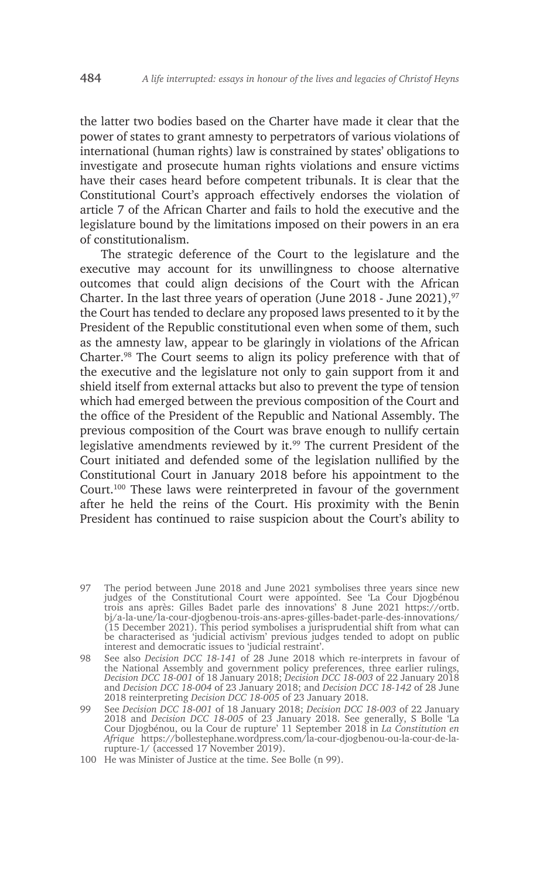the latter two bodies based on the Charter have made it clear that the power of states to grant amnesty to perpetrators of various violations of international (human rights) law is constrained by states' obligations to investigate and prosecute human rights violations and ensure victims have their cases heard before competent tribunals. It is clear that the Constitutional Court's approach effectively endorses the violation of article 7 of the African Charter and fails to hold the executive and the legislature bound by the limitations imposed on their powers in an era of constitutionalism.

The strategic deference of the Court to the legislature and the executive may account for its unwillingness to choose alternative outcomes that could align decisions of the Court with the African Charter. In the last three years of operation (June 2018 - June 2021),  $97$ the Court has tended to declare any proposed laws presented to it by the President of the Republic constitutional even when some of them, such as the amnesty law, appear to be glaringly in violations of the African Charter.98 The Court seems to align its policy preference with that of the executive and the legislature not only to gain support from it and shield itself from external attacks but also to prevent the type of tension which had emerged between the previous composition of the Court and the office of the President of the Republic and National Assembly. The previous composition of the Court was brave enough to nullify certain legislative amendments reviewed by it.<sup>99</sup> The current President of the Court initiated and defended some of the legislation nullified by the Constitutional Court in January 2018 before his appointment to the Court.100 These laws were reinterpreted in favour of the government after he held the reins of the Court. His proximity with the Benin President has continued to raise suspicion about the Court's ability to

97 The period between June 2018 and June 2021 symbolises three years since new judges of the Constitutional Court were appointed. See 'La Cour Djogbénou trois ans après: Gilles Badet parle des innovations' 8 June 2021 https://ortb. bj/a-la-une/la-cour-djogbenou-trois-ans-apres-gilles-badet-parle-des-innovations/ (15 December 2021). This period symbolises a jurisprudential shift from what can be characterised as 'judicial activism' previous judges tended to adopt on public interest and democratic issues to 'judicial restraint'.

98 See also *Decision DCC 18-141* of 28 June 2018 which re-interprets in favour of the National Assembly and government policy preferences, three earlier rulings, *Decision DCC 18-001* of 18 January 2018; *Decision DCC 18-003* of 22 January 2018 and *Decision DCC 18-004* of 23 January 2018; and *Decision DCC 18-142* of 28 June 2018 reinterpreting *Decision DCC 18-005* of 23 January 2018.

99 See *Decision DCC 18-001* of 18 January 2018; *Decision DCC 18-003* of 22 January 2018 and *Decision DCC 18-005* of 23 January 2018. See generally, S Bolle 'La Cour Djogbénou, ou la Cour de rupture' 11 September 2018 in *La Constitution en Afrique* https://bollestephane.wordpress.com/la-cour-djogbenou-ou-la-cour-de-larupture-1/ (accessed 17 November 2019).

100 He was Minister of Justice at the time. See Bolle (n 99).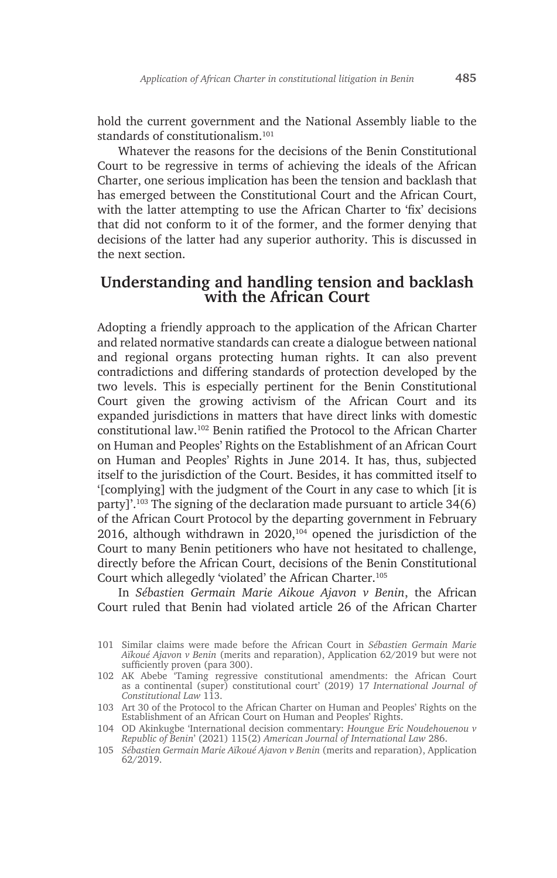hold the current government and the National Assembly liable to the standards of constitutionalism.<sup>101</sup>

Whatever the reasons for the decisions of the Benin Constitutional Court to be regressive in terms of achieving the ideals of the African Charter, one serious implication has been the tension and backlash that has emerged between the Constitutional Court and the African Court, with the latter attempting to use the African Charter to 'fix' decisions that did not conform to it of the former, and the former denying that decisions of the latter had any superior authority. This is discussed in the next section.

# **Understanding and handling tension and backlash with the African Court**

Adopting a friendly approach to the application of the African Charter and related normative standards can create a dialogue between national and regional organs protecting human rights. It can also prevent contradictions and differing standards of protection developed by the two levels. This is especially pertinent for the Benin Constitutional Court given the growing activism of the African Court and its expanded jurisdictions in matters that have direct links with domestic constitutional law.102 Benin ratified the Protocol to the African Charter on Human and Peoples' Rights on the Establishment of an African Court on Human and Peoples' Rights in June 2014. It has, thus, subjected itself to the jurisdiction of the Court. Besides, it has committed itself to '[complying] with the judgment of the Court in any case to which [it is party]'.103 The signing of the declaration made pursuant to article 34(6) of the African Court Protocol by the departing government in February 2016, although withdrawn in  $2020$ ,<sup>104</sup> opened the jurisdiction of the Court to many Benin petitioners who have not hesitated to challenge, directly before the African Court, decisions of the Benin Constitutional Court which allegedly 'violated' the African Charter.105

In *Sébastien Germain Marie Aikoue Ajavon v Benin*, the African Court ruled that Benin had violated article 26 of the African Charter

<sup>101</sup> Similar claims were made before the African Court in *Sébastien Germain Marie Aïkoué Ajavon v Benin* (merits and reparation), Application 62/2019 but were not sufficiently proven (para 300).

<sup>102</sup> AK Abebe 'Taming regressive constitutional amendments: the African Court as a continental (super) constitutional court' (2019) 17 *International Journal of Constitutional Law* 113.

<sup>103</sup> Art 30 of the Protocol to the African Charter on Human and Peoples' Rights on the Establishment of an African Court on Human and Peoples' Rights.

<sup>104</sup> OD Akinkugbe 'International decision commentary: *Houngue Eric Noudehouenou v Republic of Benin*' (2021) 115(2) *American Journal of International Law* 286.

<sup>105</sup> *Sébastien Germain Marie Aïkoué Ajavon v Benin* (merits and reparation), Application 62/2019.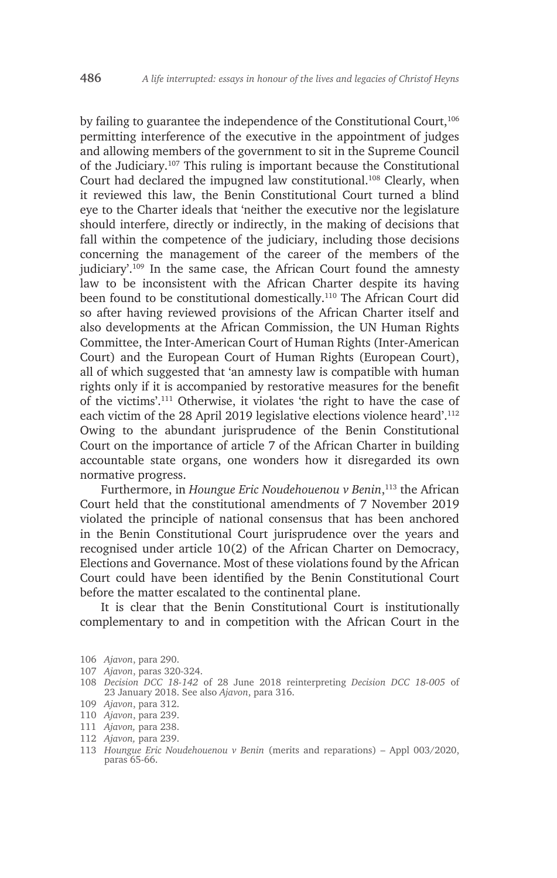by failing to guarantee the independence of the Constitutional Court,<sup>106</sup> permitting interference of the executive in the appointment of judges and allowing members of the government to sit in the Supreme Council of the Judiciary.107 This ruling is important because the Constitutional Court had declared the impugned law constitutional.<sup>108</sup> Clearly, when it reviewed this law, the Benin Constitutional Court turned a blind eye to the Charter ideals that 'neither the executive nor the legislature should interfere, directly or indirectly, in the making of decisions that fall within the competence of the judiciary, including those decisions concerning the management of the career of the members of the judiciary'.109 In the same case, the African Court found the amnesty law to be inconsistent with the African Charter despite its having been found to be constitutional domestically.<sup>110</sup> The African Court did so after having reviewed provisions of the African Charter itself and also developments at the African Commission, the UN Human Rights Committee, the Inter-American Court of Human Rights (Inter-American Court) and the European Court of Human Rights (European Court), all of which suggested that 'an amnesty law is compatible with human rights only if it is accompanied by restorative measures for the benefit of the victims'.111 Otherwise, it violates 'the right to have the case of each victim of the 28 April 2019 legislative elections violence heard'.112 Owing to the abundant jurisprudence of the Benin Constitutional Court on the importance of article 7 of the African Charter in building accountable state organs, one wonders how it disregarded its own normative progress.

Furthermore, in *Houngue Eric Noudehouenou v Benin*, 113 the African Court held that the constitutional amendments of 7 November 2019 violated the principle of national consensus that has been anchored in the Benin Constitutional Court jurisprudence over the years and recognised under article 10(2) of the African Charter on Democracy, Elections and Governance. Most of these violations found by the African Court could have been identified by the Benin Constitutional Court before the matter escalated to the continental plane.

It is clear that the Benin Constitutional Court is institutionally complementary to and in competition with the African Court in the

- 108 *Decision DCC 18-142* of 28 June 2018 reinterpreting *Decision DCC 18-005* of 23 January 2018. See also *Ajavon*, para 316.
- 109 *Ajavon*, para 312.
- 110 *Ajavon*, para 239.
- 111 *Ajavon,* para 238.
- 112 *Ajavon,* para 239.
- 113 *Houngue Eric Noudehouenou v Benin* (merits and reparations) Appl 003/2020, paras 65-66.

<sup>106</sup> *Ajavon*, para 290.

<sup>107</sup> *Ajavon*, paras 320-324.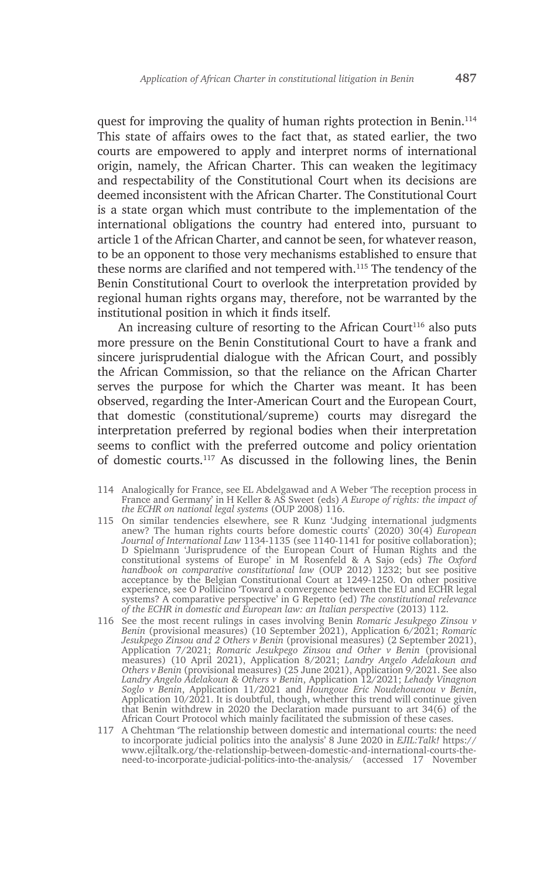quest for improving the quality of human rights protection in Benin.<sup>114</sup> This state of affairs owes to the fact that, as stated earlier, the two courts are empowered to apply and interpret norms of international origin, namely, the African Charter. This can weaken the legitimacy and respectability of the Constitutional Court when its decisions are deemed inconsistent with the African Charter. The Constitutional Court is a state organ which must contribute to the implementation of the international obligations the country had entered into, pursuant to article 1 of the African Charter, and cannot be seen, for whatever reason, to be an opponent to those very mechanisms established to ensure that these norms are clarified and not tempered with.115 The tendency of the Benin Constitutional Court to overlook the interpretation provided by regional human rights organs may, therefore, not be warranted by the institutional position in which it finds itself.

An increasing culture of resorting to the African Court<sup>116</sup> also puts more pressure on the Benin Constitutional Court to have a frank and sincere jurisprudential dialogue with the African Court, and possibly the African Commission, so that the reliance on the African Charter serves the purpose for which the Charter was meant. It has been observed, regarding the Inter-American Court and the European Court, that domestic (constitutional/supreme) courts may disregard the interpretation preferred by regional bodies when their interpretation seems to conflict with the preferred outcome and policy orientation of domestic courts.117 As discussed in the following lines, the Benin

- 114 Analogically for France, see EL Abdelgawad and A Weber 'The reception process in France and Germany' in H Keller & AS Sweet (eds) *A Europe of rights: the impact of the ECHR on national legal systems* (OUP 2008) 116.
- 115 On similar tendencies elsewhere, see R Kunz 'Judging international judgments anew? The human rights courts before domestic courts' (2020) 30(4) *European Journal of International Law* 1134-1135 (see 1140-1141 for positive collaboration); D Spielmann 'Jurisprudence of the European Court of Human Rights and the constitutional systems of Europe' in M Rosenfeld & A Sajo (eds) *The Oxford handbook on comparative constitutional law* (OUP 2012) 1232; but see positive acceptance by the Belgian Constitutional Court at 1249-1250. On other positive experience, see O Pollicino 'Toward a convergence between the EU and ECHR legal systems? A comparative perspective' in G Repetto (ed) *The constitutional relevance of the ECHR in domestic and European law: an Italian perspective* (2013) 112.
- 116 See the most recent rulings in cases involving Benin *Romaric Jesukpego Zinsou v Benin* (provisional measures) (10 September 2021), Application 6/2021; *Romaric Jesukpego Zinsou and 2 Others v Benin* (provisional measures) (2 September 2021), Application 7/2021; *Romaric Jesukpego Zinsou and Other v Benin* (provisional measures) (10 April 2021), Application 8/2021; *Landry Angelo Adelakoun and Others v Benin* (provisional measures) (25 June 2021), Application 9/2021. See also *Landry Angelo Adelakoun & Others v Benin*, Application 12/2021; *Lehady Vinagnon Soglo v Benin*, Application 11/2021 and *Houngoue Eric Noudehouenou v Benin*, Application 10/2021. It is doubtful, though, whether this trend will continue given that Benin withdrew in 2020 the Declaration made pursuant to art 34(6) of the African Court Protocol which mainly facilitated the submission of these cases.
- 117 A Chehtman 'The relationship between domestic and international courts: the need to incorporate judicial politics into the analysis' 8 June 2020 in *EJIL:Talk!* https:// www.ejiltalk.org/the-relationship-between-domestic-and-international-courts-theneed-to-incorporate-judicial-politics-into-the-analysis/ (accessed 17 November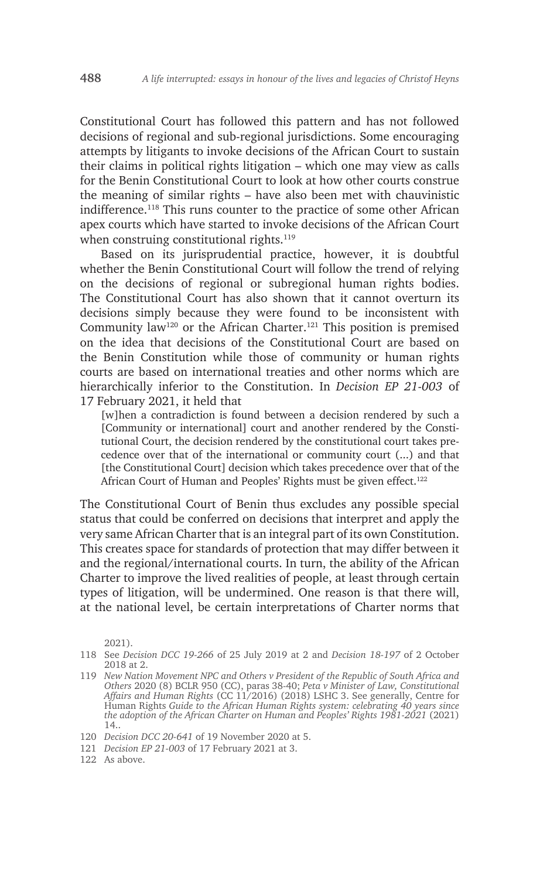Constitutional Court has followed this pattern and has not followed decisions of regional and sub-regional jurisdictions. Some encouraging attempts by litigants to invoke decisions of the African Court to sustain their claims in political rights litigation – which one may view as calls for the Benin Constitutional Court to look at how other courts construe the meaning of similar rights – have also been met with chauvinistic indifference.118 This runs counter to the practice of some other African apex courts which have started to invoke decisions of the African Court when construing constitutional rights.<sup>119</sup>

Based on its jurisprudential practice, however, it is doubtful whether the Benin Constitutional Court will follow the trend of relying on the decisions of regional or subregional human rights bodies. The Constitutional Court has also shown that it cannot overturn its decisions simply because they were found to be inconsistent with Community law<sup>120</sup> or the African Charter.<sup>121</sup> This position is premised on the idea that decisions of the Constitutional Court are based on the Benin Constitution while those of community or human rights courts are based on international treaties and other norms which are hierarchically inferior to the Constitution. In *Decision EP 21-003* of 17 February 2021, it held that

[w]hen a contradiction is found between a decision rendered by such a [Community or international] court and another rendered by the Constitutional Court, the decision rendered by the constitutional court takes precedence over that of the international or community court (...) and that [the Constitutional Court] decision which takes precedence over that of the African Court of Human and Peoples' Rights must be given effect.<sup>122</sup>

The Constitutional Court of Benin thus excludes any possible special status that could be conferred on decisions that interpret and apply the very same African Charter that is an integral part of its own Constitution. This creates space for standards of protection that may differ between it and the regional/international courts. In turn, the ability of the African Charter to improve the lived realities of people, at least through certain types of litigation, will be undermined. One reason is that there will, at the national level, be certain interpretations of Charter norms that

2021).

122 As above.

<sup>118</sup> See *Decision DCC 19-266* of 25 July 2019 at 2 and *Decision 18-197* of 2 October 2018 at 2.

<sup>119</sup> *New Nation Movement NPC and Others v President of the Republic of South Africa and Others* 2020 (8) BCLR 950 (CC), paras 38-40; *Peta v Minister of Law, Constitutional Affairs and Human Rights* (CC 11/2016) (2018) LSHC 3. See generally, Centre for Human Rights *Guide to the African Human Rights system: celebrating 40 years since the adoption of the African Charter on Human and Peoples' Rights 1981-2021* (2021) 14..

<sup>120</sup> *Decision DCC 20-641* of 19 November 2020 at 5.

<sup>121</sup> *Decision EP 21-003* of 17 February 2021 at 3.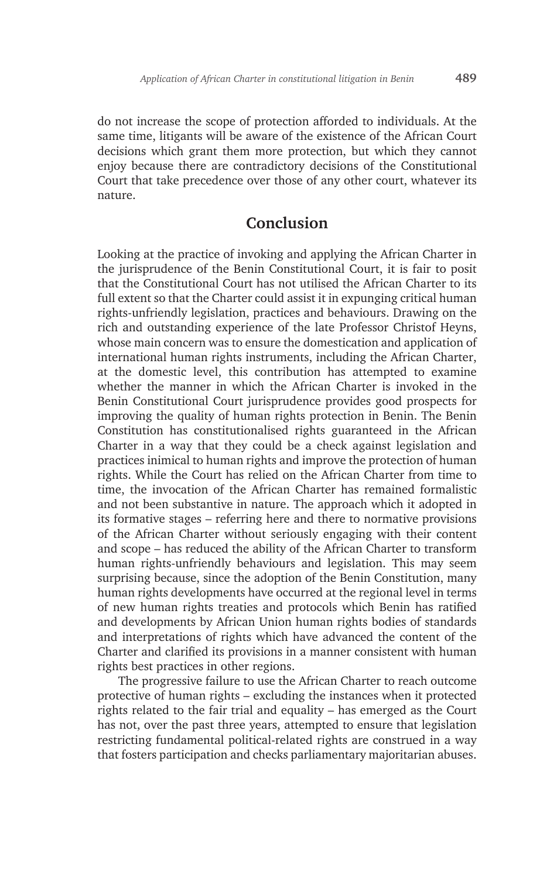do not increase the scope of protection afforded to individuals. At the same time, litigants will be aware of the existence of the African Court decisions which grant them more protection, but which they cannot enjoy because there are contradictory decisions of the Constitutional Court that take precedence over those of any other court, whatever its nature.

### **Conclusion**

Looking at the practice of invoking and applying the African Charter in the jurisprudence of the Benin Constitutional Court, it is fair to posit that the Constitutional Court has not utilised the African Charter to its full extent so that the Charter could assist it in expunging critical human rights-unfriendly legislation, practices and behaviours. Drawing on the rich and outstanding experience of the late Professor Christof Heyns, whose main concern was to ensure the domestication and application of international human rights instruments, including the African Charter, at the domestic level, this contribution has attempted to examine whether the manner in which the African Charter is invoked in the Benin Constitutional Court jurisprudence provides good prospects for improving the quality of human rights protection in Benin. The Benin Constitution has constitutionalised rights guaranteed in the African Charter in a way that they could be a check against legislation and practices inimical to human rights and improve the protection of human rights. While the Court has relied on the African Charter from time to time, the invocation of the African Charter has remained formalistic and not been substantive in nature. The approach which it adopted in its formative stages – referring here and there to normative provisions of the African Charter without seriously engaging with their content and scope – has reduced the ability of the African Charter to transform human rights-unfriendly behaviours and legislation. This may seem surprising because, since the adoption of the Benin Constitution, many human rights developments have occurred at the regional level in terms of new human rights treaties and protocols which Benin has ratified and developments by African Union human rights bodies of standards and interpretations of rights which have advanced the content of the Charter and clarified its provisions in a manner consistent with human rights best practices in other regions.

The progressive failure to use the African Charter to reach outcome protective of human rights – excluding the instances when it protected rights related to the fair trial and equality – has emerged as the Court has not, over the past three years, attempted to ensure that legislation restricting fundamental political-related rights are construed in a way that fosters participation and checks parliamentary majoritarian abuses.